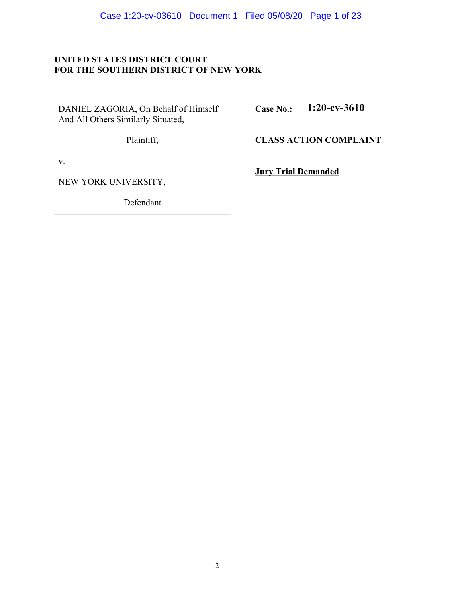# **UNITED STATES DISTRICT COURT FOR THE SOUTHERN DISTRICT OF NEW YORK**

DANIEL ZAGORIA, On Behalf of Himself And All Others Similarly Situated,

 **Case No.: 1:20-cv-3610**

Plaintiff,

v.

NEW YORK UNIVERSITY,

Defendant.

 **CLASS ACTION COMPLAINT**

 **Jury Trial Demanded**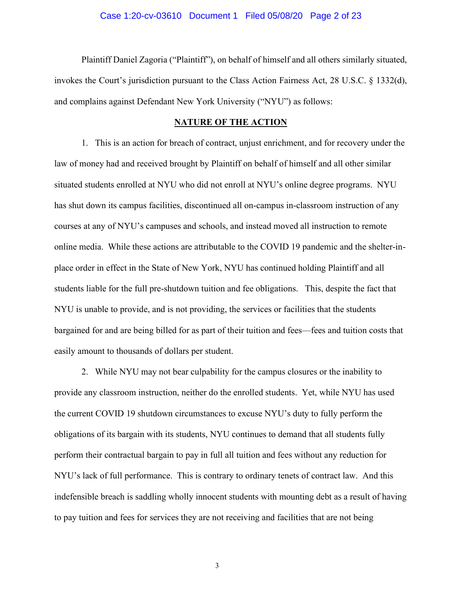### Case 1:20-cv-03610 Document 1 Filed 05/08/20 Page 2 of 23

 Plaintiff Daniel Zagoria ("Plaintiff"), on behalf of himself and all others similarly situated, invokes the Court's jurisdiction pursuant to the Class Action Fairness Act, 28 U.S.C. § 1332(d), and complains against Defendant New York University ("NYU") as follows:

### **NATURE OF THE ACTION**

1. This is an action for breach of contract, unjust enrichment, and for recovery under the law of money had and received brought by Plaintiff on behalf of himself and all other similar situated students enrolled at NYU who did not enroll at NYU's online degree programs. NYU has shut down its campus facilities, discontinued all on-campus in-classroom instruction of any courses at any of NYU's campuses and schools, and instead moved all instruction to remote online media. While these actions are attributable to the COVID 19 pandemic and the shelter-inplace order in effect in the State of New York, NYU has continued holding Plaintiff and all students liable for the full pre-shutdown tuition and fee obligations. This, despite the fact that NYU is unable to provide, and is not providing, the services or facilities that the students bargained for and are being billed for as part of their tuition and fees—fees and tuition costs that easily amount to thousands of dollars per student.

2. While NYU may not bear culpability for the campus closures or the inability to provide any classroom instruction, neither do the enrolled students. Yet, while NYU has used the current COVID 19 shutdown circumstances to excuse NYU's duty to fully perform the obligations of its bargain with its students, NYU continues to demand that all students fully perform their contractual bargain to pay in full all tuition and fees without any reduction for NYU's lack of full performance. This is contrary to ordinary tenets of contract law. And this indefensible breach is saddling wholly innocent students with mounting debt as a result of having to pay tuition and fees for services they are not receiving and facilities that are not being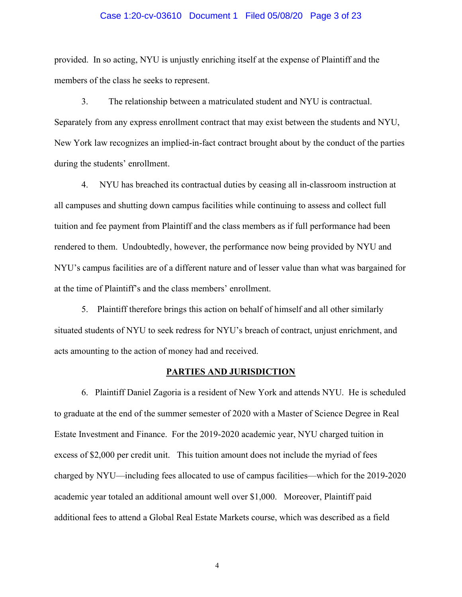### Case 1:20-cv-03610 Document 1 Filed 05/08/20 Page 3 of 23

provided. In so acting, NYU is unjustly enriching itself at the expense of Plaintiff and the members of the class he seeks to represent.

3. The relationship between a matriculated student and NYU is contractual. Separately from any express enrollment contract that may exist between the students and NYU, New York law recognizes an implied-in-fact contract brought about by the conduct of the parties during the students' enrollment.

4. NYU has breached its contractual duties by ceasing all in-classroom instruction at all campuses and shutting down campus facilities while continuing to assess and collect full tuition and fee payment from Plaintiff and the class members as if full performance had been rendered to them. Undoubtedly, however, the performance now being provided by NYU and NYU's campus facilities are of a different nature and of lesser value than what was bargained for at the time of Plaintiff's and the class members' enrollment.

5. Plaintiff therefore brings this action on behalf of himself and all other similarly situated students of NYU to seek redress for NYU's breach of contract, unjust enrichment, and acts amounting to the action of money had and received.

### **PARTIES AND JURISDICTION**

6. Plaintiff Daniel Zagoria is a resident of New York and attends NYU. He is scheduled to graduate at the end of the summer semester of 2020 with a Master of Science Degree in Real Estate Investment and Finance. For the 2019-2020 academic year, NYU charged tuition in excess of \$2,000 per credit unit. This tuition amount does not include the myriad of fees charged by NYU—including fees allocated to use of campus facilities—which for the 2019-2020 academic year totaled an additional amount well over \$1,000. Moreover, Plaintiff paid additional fees to attend a Global Real Estate Markets course, which was described as a field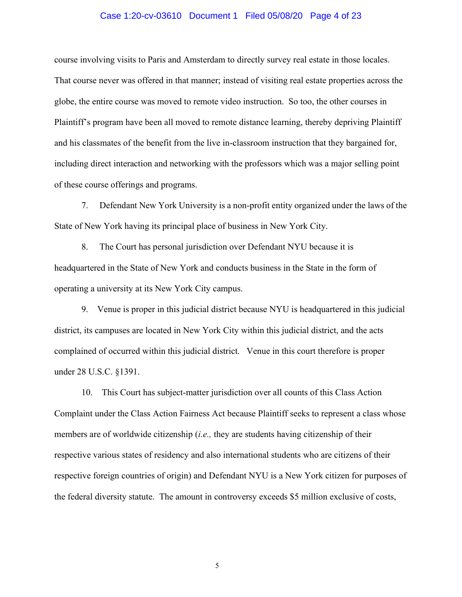### Case 1:20-cv-03610 Document 1 Filed 05/08/20 Page 4 of 23

course involving visits to Paris and Amsterdam to directly survey real estate in those locales. That course never was offered in that manner; instead of visiting real estate properties across the globe, the entire course was moved to remote video instruction. So too, the other courses in Plaintiff's program have been all moved to remote distance learning, thereby depriving Plaintiff and his classmates of the benefit from the live in-classroom instruction that they bargained for, including direct interaction and networking with the professors which was a major selling point of these course offerings and programs.

7. Defendant New York University is a non-profit entity organized under the laws of the State of New York having its principal place of business in New York City.

8. The Court has personal jurisdiction over Defendant NYU because it is headquartered in the State of New York and conducts business in the State in the form of operating a university at its New York City campus.

9. Venue is proper in this judicial district because NYU is headquartered in this judicial district, its campuses are located in New York City within this judicial district, and the acts complained of occurred within this judicial district. Venue in this court therefore is proper under 28 U.S.C. §1391.

10. This Court has subject-matter jurisdiction over all counts of this Class Action Complaint under the Class Action Fairness Act because Plaintiff seeks to represent a class whose members are of worldwide citizenship (*i.e.,* they are students having citizenship of their respective various states of residency and also international students who are citizens of their respective foreign countries of origin) and Defendant NYU is a New York citizen for purposes of the federal diversity statute. The amount in controversy exceeds \$5 million exclusive of costs,

 $\overline{5}$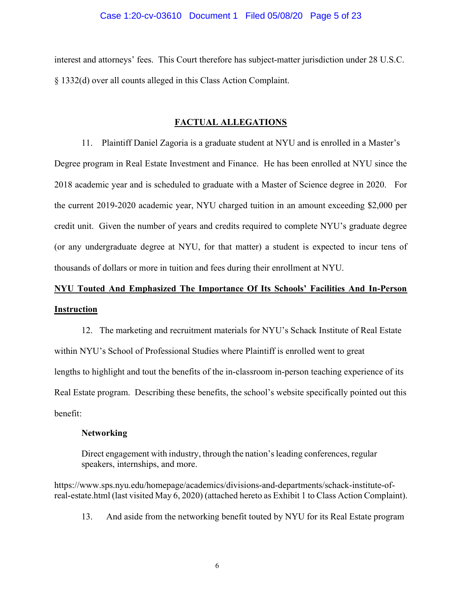### Case 1:20-cv-03610 Document 1 Filed 05/08/20 Page 5 of 23

interest and attorneys' fees. This Court therefore has subject-matter jurisdiction under 28 U.S.C. § 1332(d) over all counts alleged in this Class Action Complaint.

### **FACTUAL ALLEGATIONS**

11. Plaintiff Daniel Zagoria is a graduate student at NYU and is enrolled in a Master's Degree program in Real Estate Investment and Finance. He has been enrolled at NYU since the 2018 academic year and is scheduled to graduate with a Master of Science degree in 2020. For the current 2019-2020 academic year, NYU charged tuition in an amount exceeding \$2,000 per credit unit. Given the number of years and credits required to complete NYU's graduate degree (or any undergraduate degree at NYU, for that matter) a student is expected to incur tens of thousands of dollars or more in tuition and fees during their enrollment at NYU.

# **NYU Touted And Emphasized The Importance Of Its Schools' Facilities And In-Person Instruction**

12. The marketing and recruitment materials for NYU's Schack Institute of Real Estate within NYU's School of Professional Studies where Plaintiff is enrolled went to great lengths to highlight and tout the benefits of the in-classroom in-person teaching experience of its Real Estate program. Describing these benefits, the school's website specifically pointed out this benefit:

### **Networking**

Direct engagement with industry, through the nation's leading conferences, regular speakers, internships, and more.

https://www.sps.nyu.edu/homepage/academics/divisions-and-departments/schack-institute-ofreal-estate.html (last visited May 6, 2020) (attached hereto as Exhibit 1 to Class Action Complaint).

13. And aside from the networking benefit touted by NYU for its Real Estate program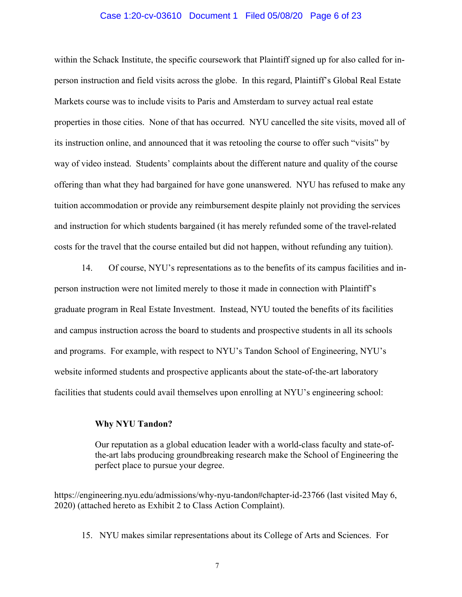### Case 1:20-cv-03610 Document 1 Filed 05/08/20 Page 6 of 23

within the Schack Institute, the specific coursework that Plaintiff signed up for also called for inperson instruction and field visits across the globe. In this regard, Plaintiff's Global Real Estate Markets course was to include visits to Paris and Amsterdam to survey actual real estate properties in those cities. None of that has occurred. NYU cancelled the site visits, moved all of its instruction online, and announced that it was retooling the course to offer such "visits" by way of video instead. Students' complaints about the different nature and quality of the course offering than what they had bargained for have gone unanswered. NYU has refused to make any tuition accommodation or provide any reimbursement despite plainly not providing the services and instruction for which students bargained (it has merely refunded some of the travel-related costs for the travel that the course entailed but did not happen, without refunding any tuition).

14. Of course, NYU's representations as to the benefits of its campus facilities and inperson instruction were not limited merely to those it made in connection with Plaintiff's graduate program in Real Estate Investment. Instead, NYU touted the benefits of its facilities and campus instruction across the board to students and prospective students in all its schools and programs. For example, with respect to NYU's Tandon School of Engineering, NYU's website informed students and prospective applicants about the state-of-the-art laboratory facilities that students could avail themselves upon enrolling at NYU's engineering school:

### **Why NYU Tandon?**

Our reputation as a global education leader with a world-class faculty and state-ofthe-art labs producing groundbreaking research make the School of Engineering the perfect place to pursue your degree.

https://engineering.nyu.edu/admissions/why-nyu-tandon#chapter-id-23766 (last visited May 6, 2020) (attached hereto as Exhibit 2 to Class Action Complaint).

15. NYU makes similar representations about its College of Arts and Sciences. For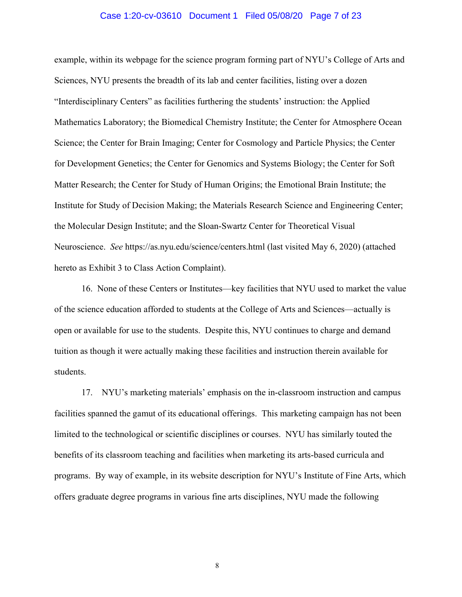### Case 1:20-cv-03610 Document 1 Filed 05/08/20 Page 7 of 23

example, within its webpage for the science program forming part of NYU's College of Arts and Sciences, NYU presents the breadth of its lab and center facilities, listing over a dozen "Interdisciplinary Centers" as facilities furthering the students' instruction: the Applied Mathematics Laboratory; the Biomedical Chemistry Institute; the Center for Atmosphere Ocean Science; the Center for Brain Imaging; Center for Cosmology and Particle Physics; the Center for Development Genetics; the Center for Genomics and Systems Biology; the Center for Soft Matter Research; the Center for Study of Human Origins; the Emotional Brain Institute; the Institute for Study of Decision Making; the Materials Research Science and Engineering Center; the Molecular Design Institute; and the Sloan-Swartz Center for Theoretical Visual Neuroscience. *See* https://as.nyu.edu/science/centers.html (last visited May 6, 2020) (attached hereto as Exhibit 3 to Class Action Complaint).

16. None of these Centers or Institutes—key facilities that NYU used to market the value of the science education afforded to students at the College of Arts and Sciences—actually is open or available for use to the students. Despite this, NYU continues to charge and demand tuition as though it were actually making these facilities and instruction therein available for students.

17. NYU's marketing materials' emphasis on the in-classroom instruction and campus facilities spanned the gamut of its educational offerings. This marketing campaign has not been limited to the technological or scientific disciplines or courses. NYU has similarly touted the benefits of its classroom teaching and facilities when marketing its arts-based curricula and programs. By way of example, in its website description for NYU's Institute of Fine Arts, which offers graduate degree programs in various fine arts disciplines, NYU made the following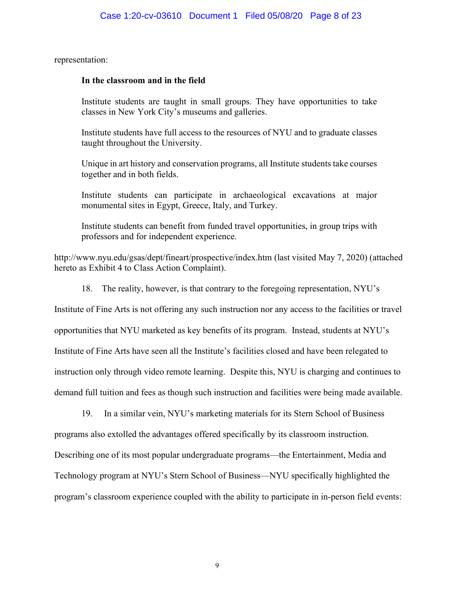representation:

### **In the classroom and in the field**

Institute students are taught in small groups. They have opportunities to take classes in New York City's museums and galleries.

Institute students have full access to the resources of NYU and to graduate classes taught throughout the University.

Unique in art history and conservation programs, all Institute students take courses together and in both fields.

Institute students can participate in archaeological excavations at major monumental sites in Egypt, Greece, Italy, and Turkey.

Institute students can benefit from funded travel opportunities, in group trips with professors and for independent experience.

http://www.nyu.edu/gsas/dept/fineart/prospective/index.htm (last visited May 7, 2020) (attached hereto as Exhibit 4 to Class Action Complaint).

18. The reality, however, is that contrary to the foregoing representation, NYU's

Institute of Fine Arts is not offering any such instruction nor any access to the facilities or travel

opportunities that NYU marketed as key benefits of its program. Instead, students at NYU's

Institute of Fine Arts have seen all the Institute's facilities closed and have been relegated to

instruction only through video remote learning. Despite this, NYU is charging and continues to

demand full tuition and fees as though such instruction and facilities were being made available.

19. In a similar vein, NYU's marketing materials for its Stern School of Business

programs also extolled the advantages offered specifically by its classroom instruction.

Describing one of its most popular undergraduate programs—the Entertainment, Media and

Technology program at NYU's Stern School of Business—NYU specifically highlighted the

program's classroom experience coupled with the ability to participate in in-person field events: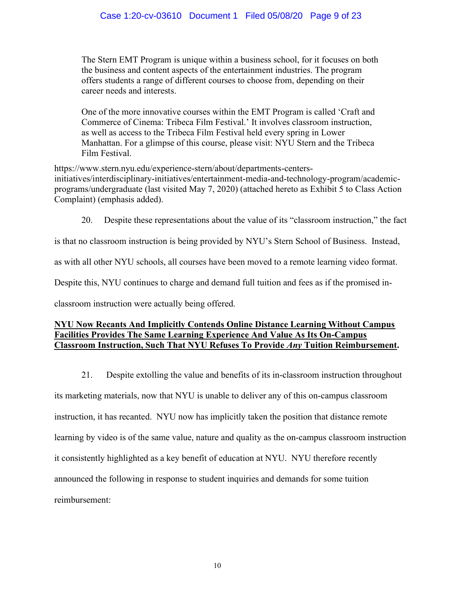The Stern EMT Program is unique within a business school, for it focuses on both the business and content aspects of the entertainment industries. The program offers students a range of different courses to choose from, depending on their career needs and interests.

One of the more innovative courses within the EMT Program is called 'Craft and Commerce of Cinema: Tribeca Film Festival.' It involves classroom instruction, as well as access to the Tribeca Film Festival held every spring in Lower Manhattan. For a glimpse of this course, please visit: NYU Stern and the Tribeca Film Festival.

https://www.stern.nyu.edu/experience-stern/about/departments-centersinitiatives/interdisciplinary-initiatives/entertainment-media-and-technology-program/academicprograms/undergraduate (last visited May 7, 2020) (attached hereto as Exhibit 5 to Class Action Complaint) (emphasis added).

20. Despite these representations about the value of its "classroom instruction," the fact

is that no classroom instruction is being provided by NYU's Stern School of Business. Instead,

as with all other NYU schools, all courses have been moved to a remote learning video format.

Despite this, NYU continues to charge and demand full tuition and fees as if the promised in-

classroom instruction were actually being offered.

### **NYU Now Recants And Implicitly Contends Online Distance Learning Without Campus Facilities Provides The Same Learning Experience And Value As Its On-Campus Classroom Instruction, Such That NYU Refuses To Provide** *Any* **Tuition Reimbursement.**

21. Despite extolling the value and benefits of its in-classroom instruction throughout

its marketing materials, now that NYU is unable to deliver any of this on-campus classroom instruction, it has recanted. NYU now has implicitly taken the position that distance remote learning by video is of the same value, nature and quality as the on-campus classroom instruction it consistently highlighted as a key benefit of education at NYU. NYU therefore recently announced the following in response to student inquiries and demands for some tuition reimbursement: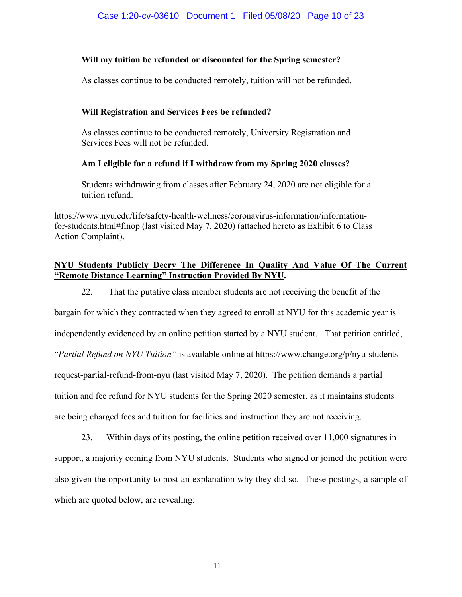# **Will my tuition be refunded or discounted for the Spring semester?**

As classes continue to be conducted remotely, tuition will not be refunded.

# **Will Registration and Services Fees be refunded?**

As classes continue to be conducted remotely, University Registration and Services Fees will not be refunded.

# **Am I eligible for a refund if I withdraw from my Spring 2020 classes?**

Students withdrawing from classes after February 24, 2020 are not eligible for a tuition refund.

https://www.nyu.edu/life/safety-health-wellness/coronavirus-information/informationfor-students.html#finop (last visited May 7, 2020) (attached hereto as Exhibit 6 to Class Action Complaint).

# **NYU Students Publicly Decry The Difference In Quality And Value Of The Current "Remote Distance Learning" Instruction Provided By NYU.**

22. That the putative class member students are not receiving the benefit of the

bargain for which they contracted when they agreed to enroll at NYU for this academic year is independently evidenced by an online petition started by a NYU student. That petition entitled, "*Partial Refund on NYU Tuition"* is available online at https://www.change.org/p/nyu-studentsrequest-partial-refund-from-nyu (last visited May 7, 2020). The petition demands a partial tuition and fee refund for NYU students for the Spring 2020 semester, as it maintains students are being charged fees and tuition for facilities and instruction they are not receiving.

23. Within days of its posting, the online petition received over 11,000 signatures in support, a majority coming from NYU students. Students who signed or joined the petition were also given the opportunity to post an explanation why they did so. These postings, a sample of which are quoted below, are revealing: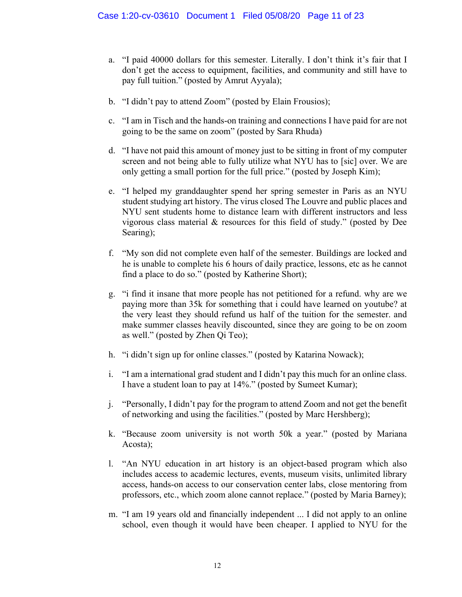- a. "I paid 40000 dollars for this semester. Literally. I don't think it's fair that I don't get the access to equipment, facilities, and community and still have to pay full tuition." (posted by Amrut Ayyala);
- b. "I didn't pay to attend Zoom" (posted by Elain Frousios);
- c. "I am in Tisch and the hands-on training and connections I have paid for are not going to be the same on zoom" (posted by Sara Rhuda)
- d. "I have not paid this amount of money just to be sitting in front of my computer screen and not being able to fully utilize what NYU has to [sic] over. We are only getting a small portion for the full price." (posted by Joseph Kim);
- e. "I helped my granddaughter spend her spring semester in Paris as an NYU student studying art history. The virus closed The Louvre and public places and NYU sent students home to distance learn with different instructors and less vigorous class material & resources for this field of study." (posted by Dee Searing);
- f. "My son did not complete even half of the semester. Buildings are locked and he is unable to complete his 6 hours of daily practice, lessons, etc as he cannot find a place to do so." (posted by Katherine Short);
- g. "i find it insane that more people has not petitioned for a refund. why are we paying more than 35k for something that i could have learned on youtube? at the very least they should refund us half of the tuition for the semester. and make summer classes heavily discounted, since they are going to be on zoom as well." (posted by Zhen Qi Teo);
- h. "i didn't sign up for online classes." (posted by Katarina Nowack);
- i. "I am a international grad student and I didn't pay this much for an online class. I have a student loan to pay at 14%." (posted by Sumeet Kumar);
- j. "Personally, I didn't pay for the program to attend Zoom and not get the benefit of networking and using the facilities." (posted by Marc Hershberg);
- k. "Because zoom university is not worth 50k a year." (posted by Mariana Acosta);
- l. "An NYU education in art history is an object-based program which also includes access to academic lectures, events, museum visits, unlimited library access, hands-on access to our conservation center labs, close mentoring from professors, etc., which zoom alone cannot replace." (posted by Maria Barney);
- m. "I am 19 years old and financially independent ... I did not apply to an online school, even though it would have been cheaper. I applied to NYU for the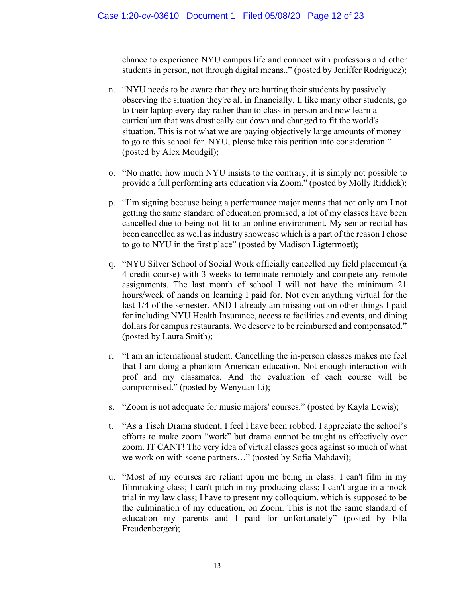chance to experience NYU campus life and connect with professors and other students in person, not through digital means.." (posted by Jeniffer Rodriguez);

- n. "NYU needs to be aware that they are hurting their students by passively observing the situation they're all in financially. I, like many other students, go to their laptop every day rather than to class in-person and now learn a curriculum that was drastically cut down and changed to fit the world's situation. This is not what we are paying objectively large amounts of money to go to this school for. NYU, please take this petition into consideration." (posted by Alex Moudgil);
- o. "No matter how much NYU insists to the contrary, it is simply not possible to provide a full performing arts education via Zoom." (posted by Molly Riddick);
- p. "I'm signing because being a performance major means that not only am I not getting the same standard of education promised, a lot of my classes have been cancelled due to being not fit to an online environment. My senior recital has been cancelled as well as industry showcase which is a part of the reason I chose to go to NYU in the first place" (posted by Madison Ligtermoet);
- q. "NYU Silver School of Social Work officially cancelled my field placement (a 4-credit course) with 3 weeks to terminate remotely and compete any remote assignments. The last month of school I will not have the minimum 21 hours/week of hands on learning I paid for. Not even anything virtual for the last 1/4 of the semester. AND I already am missing out on other things I paid for including NYU Health Insurance, access to facilities and events, and dining dollars for campus restaurants. We deserve to be reimbursed and compensated." (posted by Laura Smith);
- r. "I am an international student. Cancelling the in-person classes makes me feel that I am doing a phantom American education. Not enough interaction with prof and my classmates. And the evaluation of each course will be compromised." (posted by Wenyuan Li);
- s. "Zoom is not adequate for music majors' courses." (posted by Kayla Lewis);
- t. "As a Tisch Drama student, I feel I have been robbed. I appreciate the school's efforts to make zoom "work" but drama cannot be taught as effectively over zoom. IT CANT! The very idea of virtual classes goes against so much of what we work on with scene partners…" (posted by Sofia Mahdavi);
- u. "Most of my courses are reliant upon me being in class. I can't film in my filmmaking class; I can't pitch in my producing class; I can't argue in a mock trial in my law class; I have to present my colloquium, which is supposed to be the culmination of my education, on Zoom. This is not the same standard of education my parents and I paid for unfortunately" (posted by Ella Freudenberger);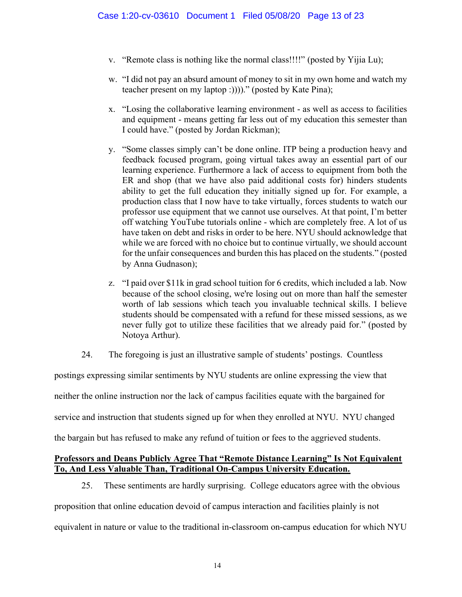- v. "Remote class is nothing like the normal class!!!!" (posted by Yijia Lu);
- w. "I did not pay an absurd amount of money to sit in my own home and watch my teacher present on my laptop :))))." (posted by Kate Pina);
- x. "Losing the collaborative learning environment as well as access to facilities and equipment - means getting far less out of my education this semester than I could have." (posted by Jordan Rickman);
- y. "Some classes simply can't be done online. ITP being a production heavy and feedback focused program, going virtual takes away an essential part of our learning experience. Furthermore a lack of access to equipment from both the ER and shop (that we have also paid additional costs for) hinders students ability to get the full education they initially signed up for. For example, a production class that I now have to take virtually, forces students to watch our professor use equipment that we cannot use ourselves. At that point, I'm better off watching YouTube tutorials online - which are completely free. A lot of us have taken on debt and risks in order to be here. NYU should acknowledge that while we are forced with no choice but to continue virtually, we should account for the unfair consequences and burden this has placed on the students." (posted by Anna Gudnason);
- z. "I paid over \$11k in grad school tuition for 6 credits, which included a lab. Now because of the school closing, we're losing out on more than half the semester worth of lab sessions which teach you invaluable technical skills. I believe students should be compensated with a refund for these missed sessions, as we never fully got to utilize these facilities that we already paid for." (posted by Notoya Arthur).
- 24. The foregoing is just an illustrative sample of students' postings. Countless

postings expressing similar sentiments by NYU students are online expressing the view that neither the online instruction nor the lack of campus facilities equate with the bargained for service and instruction that students signed up for when they enrolled at NYU. NYU changed the bargain but has refused to make any refund of tuition or fees to the aggrieved students.

### **Professors and Deans Publicly Agree That "Remote Distance Learning" Is Not Equivalent To, And Less Valuable Than, Traditional On-Campus University Education.**

25. These sentiments are hardly surprising. College educators agree with the obvious

proposition that online education devoid of campus interaction and facilities plainly is not equivalent in nature or value to the traditional in-classroom on-campus education for which NYU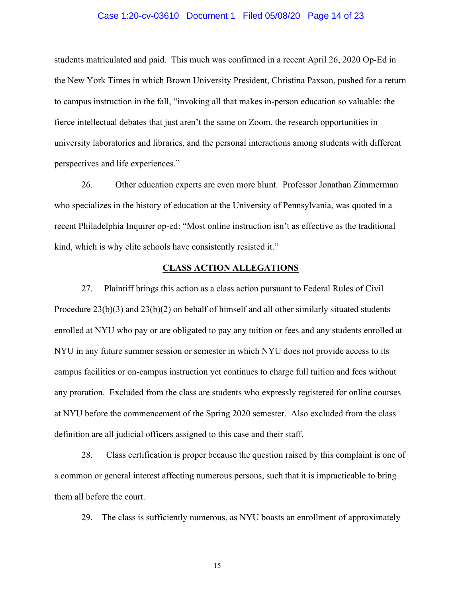### Case 1:20-cv-03610 Document 1 Filed 05/08/20 Page 14 of 23

students matriculated and paid. This much was confirmed in a recent April 26, 2020 Op-Ed in the New York Times in which Brown University President, Christina Paxson, pushed for a return to campus instruction in the fall, "invoking all that makes in-person education so valuable: the fierce intellectual debates that just aren't the same on Zoom, the research opportunities in university laboratories and libraries, and the personal interactions among students with different perspectives and life experiences."

26. Other education experts are even more blunt. Professor Jonathan Zimmerman who specializes in the history of education at the University of Pennsylvania, was quoted in a recent Philadelphia Inquirer op-ed: "Most online instruction isn't as effective as the traditional kind, which is why elite schools have consistently resisted it."

### **CLASS ACTION ALLEGATIONS**

27. Plaintiff brings this action as a class action pursuant to Federal Rules of Civil Procedure 23(b)(3) and 23(b)(2) on behalf of himself and all other similarly situated students enrolled at NYU who pay or are obligated to pay any tuition or fees and any students enrolled at NYU in any future summer session or semester in which NYU does not provide access to its campus facilities or on-campus instruction yet continues to charge full tuition and fees without any proration. Excluded from the class are students who expressly registered for online courses at NYU before the commencement of the Spring 2020 semester. Also excluded from the class definition are all judicial officers assigned to this case and their staff.

28. Class certification is proper because the question raised by this complaint is one of a common or general interest affecting numerous persons, such that it is impracticable to bring them all before the court.

29. The class is sufficiently numerous, as NYU boasts an enrollment of approximately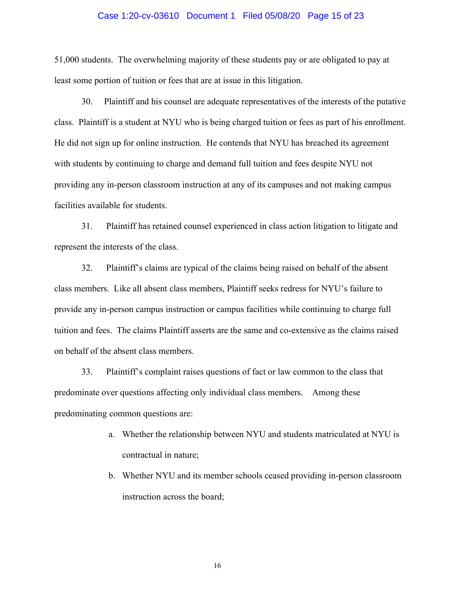### Case 1:20-cv-03610 Document 1 Filed 05/08/20 Page 15 of 23

51,000 students. The overwhelming majority of these students pay or are obligated to pay at least some portion of tuition or fees that are at issue in this litigation.

30. Plaintiff and his counsel are adequate representatives of the interests of the putative class. Plaintiff is a student at NYU who is being charged tuition or fees as part of his enrollment. He did not sign up for online instruction. He contends that NYU has breached its agreement with students by continuing to charge and demand full tuition and fees despite NYU not providing any in-person classroom instruction at any of its campuses and not making campus facilities available for students.

31. Plaintiff has retained counsel experienced in class action litigation to litigate and represent the interests of the class.

32. Plaintiff's claims are typical of the claims being raised on behalf of the absent class members. Like all absent class members, Plaintiff seeks redress for NYU's failure to provide any in-person campus instruction or campus facilities while continuing to charge full tuition and fees. The claims Plaintiff asserts are the same and co-extensive as the claims raised on behalf of the absent class members.

33. Plaintiff's complaint raises questions of fact or law common to the class that predominate over questions affecting only individual class members. Among these predominating common questions are:

- a. Whether the relationship between NYU and students matriculated at NYU is contractual in nature;
- b. Whether NYU and its member schools ceased providing in-person classroom instruction across the board;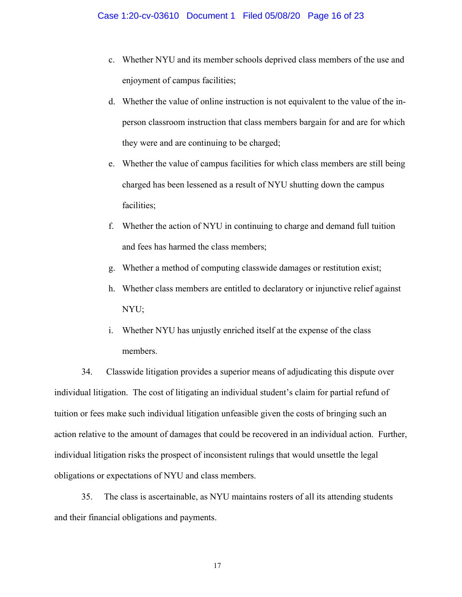- c. Whether NYU and its member schools deprived class members of the use and enjoyment of campus facilities;
- d. Whether the value of online instruction is not equivalent to the value of the inperson classroom instruction that class members bargain for and are for which they were and are continuing to be charged;
- e. Whether the value of campus facilities for which class members are still being charged has been lessened as a result of NYU shutting down the campus facilities;
- f. Whether the action of NYU in continuing to charge and demand full tuition and fees has harmed the class members;
- g. Whether a method of computing classwide damages or restitution exist;
- h. Whether class members are entitled to declaratory or injunctive relief against NYU;
- i. Whether NYU has unjustly enriched itself at the expense of the class members.

34. Classwide litigation provides a superior means of adjudicating this dispute over individual litigation. The cost of litigating an individual student's claim for partial refund of tuition or fees make such individual litigation unfeasible given the costs of bringing such an action relative to the amount of damages that could be recovered in an individual action. Further, individual litigation risks the prospect of inconsistent rulings that would unsettle the legal obligations or expectations of NYU and class members.

35. The class is ascertainable, as NYU maintains rosters of all its attending students and their financial obligations and payments.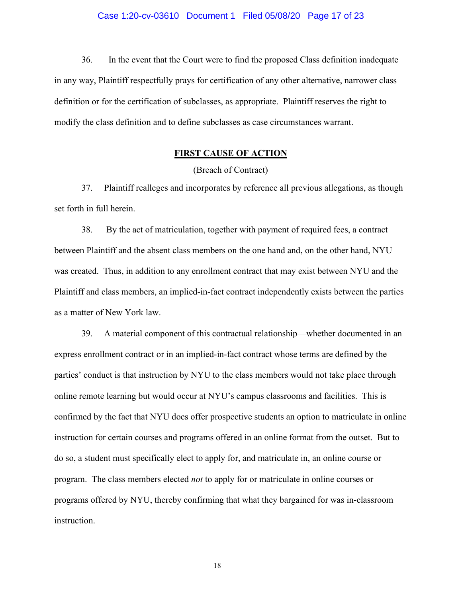36. In the event that the Court were to find the proposed Class definition inadequate in any way, Plaintiff respectfully prays for certification of any other alternative, narrower class definition or for the certification of subclasses, as appropriate. Plaintiff reserves the right to modify the class definition and to define subclasses as case circumstances warrant.

### **FIRST CAUSE OF ACTION**

(Breach of Contract)

37. Plaintiff realleges and incorporates by reference all previous allegations, as though set forth in full herein.

38. By the act of matriculation, together with payment of required fees, a contract between Plaintiff and the absent class members on the one hand and, on the other hand, NYU was created. Thus, in addition to any enrollment contract that may exist between NYU and the Plaintiff and class members, an implied-in-fact contract independently exists between the parties as a matter of New York law.

39. A material component of this contractual relationship—whether documented in an express enrollment contract or in an implied-in-fact contract whose terms are defined by the parties' conduct is that instruction by NYU to the class members would not take place through online remote learning but would occur at NYU's campus classrooms and facilities. This is confirmed by the fact that NYU does offer prospective students an option to matriculate in online instruction for certain courses and programs offered in an online format from the outset. But to do so, a student must specifically elect to apply for, and matriculate in, an online course or program. The class members elected *not* to apply for or matriculate in online courses or programs offered by NYU, thereby confirming that what they bargained for was in-classroom instruction.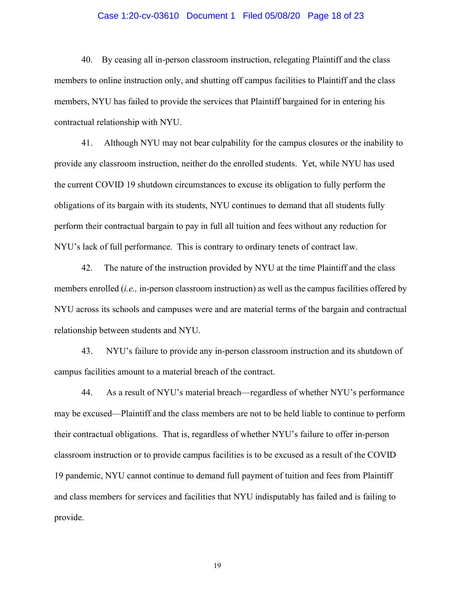### Case 1:20-cv-03610 Document 1 Filed 05/08/20 Page 18 of 23

40. By ceasing all in-person classroom instruction, relegating Plaintiff and the class members to online instruction only, and shutting off campus facilities to Plaintiff and the class members, NYU has failed to provide the services that Plaintiff bargained for in entering his contractual relationship with NYU.

41. Although NYU may not bear culpability for the campus closures or the inability to provide any classroom instruction, neither do the enrolled students. Yet, while NYU has used the current COVID 19 shutdown circumstances to excuse its obligation to fully perform the obligations of its bargain with its students, NYU continues to demand that all students fully perform their contractual bargain to pay in full all tuition and fees without any reduction for NYU's lack of full performance. This is contrary to ordinary tenets of contract law.

42. The nature of the instruction provided by NYU at the time Plaintiff and the class members enrolled (*i.e.,* in-person classroom instruction) as well as the campus facilities offered by NYU across its schools and campuses were and are material terms of the bargain and contractual relationship between students and NYU.

43. NYU's failure to provide any in-person classroom instruction and its shutdown of campus facilities amount to a material breach of the contract.

44. As a result of NYU's material breach—regardless of whether NYU's performance may be excused—Plaintiff and the class members are not to be held liable to continue to perform their contractual obligations. That is, regardless of whether NYU's failure to offer in-person classroom instruction or to provide campus facilities is to be excused as a result of the COVID 19 pandemic, NYU cannot continue to demand full payment of tuition and fees from Plaintiff and class members for services and facilities that NYU indisputably has failed and is failing to provide.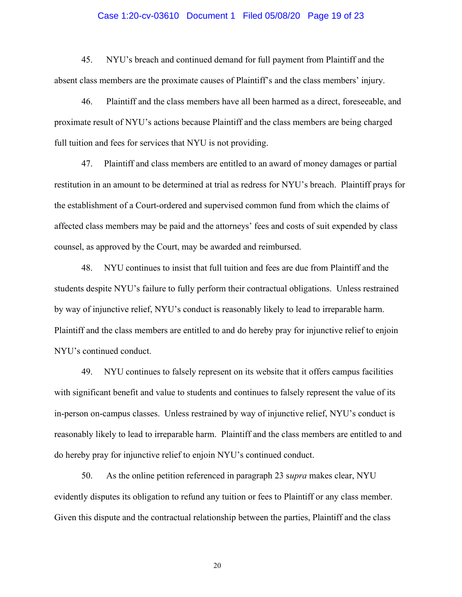### Case 1:20-cv-03610 Document 1 Filed 05/08/20 Page 19 of 23

45. NYU's breach and continued demand for full payment from Plaintiff and the absent class members are the proximate causes of Plaintiff's and the class members' injury.

46. Plaintiff and the class members have all been harmed as a direct, foreseeable, and proximate result of NYU's actions because Plaintiff and the class members are being charged full tuition and fees for services that NYU is not providing.

47. Plaintiff and class members are entitled to an award of money damages or partial restitution in an amount to be determined at trial as redress for NYU's breach. Plaintiff prays for the establishment of a Court-ordered and supervised common fund from which the claims of affected class members may be paid and the attorneys' fees and costs of suit expended by class counsel, as approved by the Court, may be awarded and reimbursed.

48. NYU continues to insist that full tuition and fees are due from Plaintiff and the students despite NYU's failure to fully perform their contractual obligations. Unless restrained by way of injunctive relief, NYU's conduct is reasonably likely to lead to irreparable harm. Plaintiff and the class members are entitled to and do hereby pray for injunctive relief to enjoin NYU's continued conduct.

49. NYU continues to falsely represent on its website that it offers campus facilities with significant benefit and value to students and continues to falsely represent the value of its in-person on-campus classes. Unless restrained by way of injunctive relief, NYU's conduct is reasonably likely to lead to irreparable harm. Plaintiff and the class members are entitled to and do hereby pray for injunctive relief to enjoin NYU's continued conduct.

50. As the online petition referenced in paragraph 23 s*upra* makes clear, NYU evidently disputes its obligation to refund any tuition or fees to Plaintiff or any class member. Given this dispute and the contractual relationship between the parties, Plaintiff and the class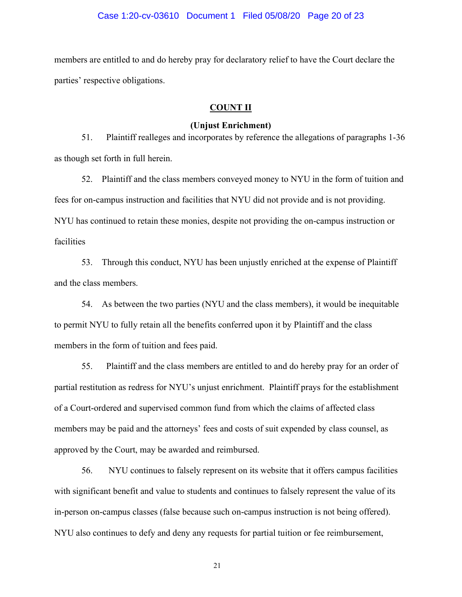members are entitled to and do hereby pray for declaratory relief to have the Court declare the parties' respective obligations.

### **COUNT II**

### **(Unjust Enrichment)**

51. Plaintiff realleges and incorporates by reference the allegations of paragraphs 1-36 as though set forth in full herein.

52. Plaintiff and the class members conveyed money to NYU in the form of tuition and fees for on-campus instruction and facilities that NYU did not provide and is not providing. NYU has continued to retain these monies, despite not providing the on-campus instruction or facilities

53. Through this conduct, NYU has been unjustly enriched at the expense of Plaintiff and the class members.

54. As between the two parties (NYU and the class members), it would be inequitable to permit NYU to fully retain all the benefits conferred upon it by Plaintiff and the class members in the form of tuition and fees paid.

55. Plaintiff and the class members are entitled to and do hereby pray for an order of partial restitution as redress for NYU's unjust enrichment. Plaintiff prays for the establishment of a Court-ordered and supervised common fund from which the claims of affected class members may be paid and the attorneys' fees and costs of suit expended by class counsel, as approved by the Court, may be awarded and reimbursed.

56. NYU continues to falsely represent on its website that it offers campus facilities with significant benefit and value to students and continues to falsely represent the value of its in-person on-campus classes (false because such on-campus instruction is not being offered). NYU also continues to defy and deny any requests for partial tuition or fee reimbursement,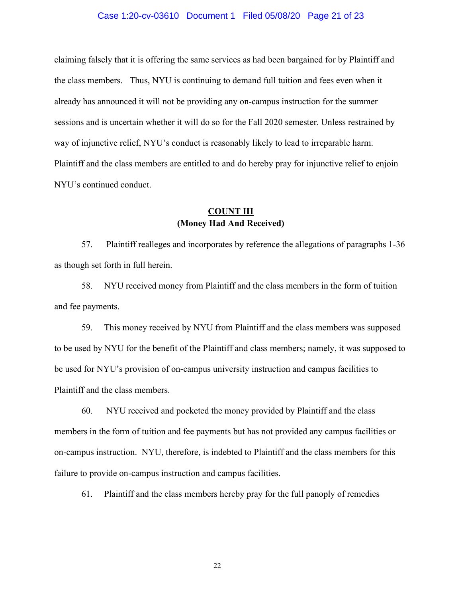### Case 1:20-cv-03610 Document 1 Filed 05/08/20 Page 21 of 23

claiming falsely that it is offering the same services as had been bargained for by Plaintiff and the class members. Thus, NYU is continuing to demand full tuition and fees even when it already has announced it will not be providing any on-campus instruction for the summer sessions and is uncertain whether it will do so for the Fall 2020 semester. Unless restrained by way of injunctive relief, NYU's conduct is reasonably likely to lead to irreparable harm. Plaintiff and the class members are entitled to and do hereby pray for injunctive relief to enjoin NYU's continued conduct.

# **COUNT III (Money Had And Received)**

57. Plaintiff realleges and incorporates by reference the allegations of paragraphs 1-36 as though set forth in full herein.

58. NYU received money from Plaintiff and the class members in the form of tuition and fee payments.

59. This money received by NYU from Plaintiff and the class members was supposed to be used by NYU for the benefit of the Plaintiff and class members; namely, it was supposed to be used for NYU's provision of on-campus university instruction and campus facilities to Plaintiff and the class members.

60. NYU received and pocketed the money provided by Plaintiff and the class members in the form of tuition and fee payments but has not provided any campus facilities or on-campus instruction. NYU, therefore, is indebted to Plaintiff and the class members for this failure to provide on-campus instruction and campus facilities.

61. Plaintiff and the class members hereby pray for the full panoply of remedies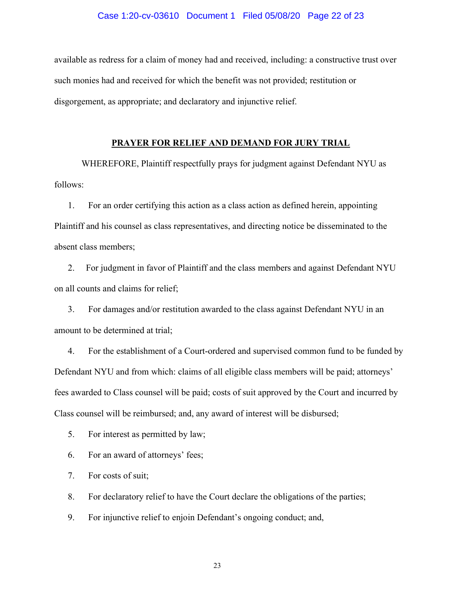### Case 1:20-cv-03610 Document 1 Filed 05/08/20 Page 22 of 23

available as redress for a claim of money had and received, including: a constructive trust over such monies had and received for which the benefit was not provided; restitution or disgorgement, as appropriate; and declaratory and injunctive relief.

### **PRAYER FOR RELIEF AND DEMAND FOR JURY TRIAL**

 WHEREFORE, Plaintiff respectfully prays for judgment against Defendant NYU as follows:

1. For an order certifying this action as a class action as defined herein, appointing Plaintiff and his counsel as class representatives, and directing notice be disseminated to the absent class members;

2. For judgment in favor of Plaintiff and the class members and against Defendant NYU on all counts and claims for relief;

3. For damages and/or restitution awarded to the class against Defendant NYU in an amount to be determined at trial;

4. For the establishment of a Court-ordered and supervised common fund to be funded by Defendant NYU and from which: claims of all eligible class members will be paid; attorneys' fees awarded to Class counsel will be paid; costs of suit approved by the Court and incurred by Class counsel will be reimbursed; and, any award of interest will be disbursed;

5. For interest as permitted by law;

6. For an award of attorneys' fees;

7. For costs of suit;

8. For declaratory relief to have the Court declare the obligations of the parties;

9. For injunctive relief to enjoin Defendant's ongoing conduct; and,